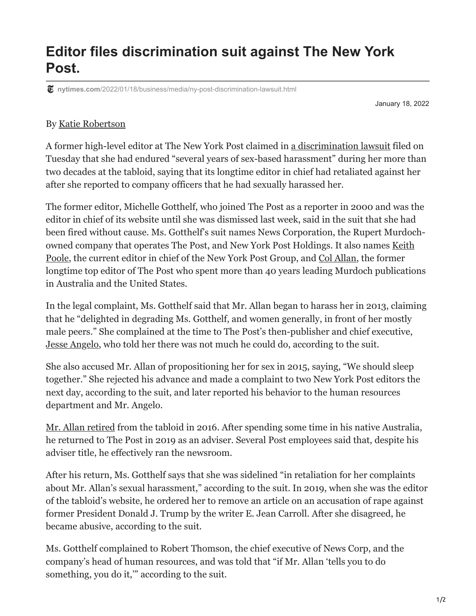## **Editor files discrimination suit against The New York Post.**

**nytimes.com**[/2022/01/18/business/media/ny-post-discrimination-lawsuit.html](https://www.nytimes.com/2022/01/18/business/media/ny-post-discrimination-lawsuit.html)

January 18, 2022

## By [Katie Robertson](https://www.nytimes.com/by/katie-robertson)

A former high-level editor at The New York Post claimed in [a discrimination lawsuit](https://int.nyt.com/data/documenttools/michelle-gotthelf-v-col-allan-keith-poole-new-york-post-news-corporation/2ba56828a2c2ed4b/full.pdf) filed on Tuesday that she had endured "several years of sex-based harassment" during her more than two decades at the tabloid, saying that its longtime editor in chief had retaliated against her after she reported to company officers that he had sexually harassed her.

The former editor, Michelle Gotthelf, who joined The Post as a reporter in 2000 and was the editor in chief of its website until she was dismissed last week, said in the suit that she had been fired without cause. Ms. Gotthelf's suit names News Corporation, the Rupert Murdoch[owned company that operates The Post, and New York Post Holdings. It also names Keith](https://www.nytimes.com/2021/04/23/business/media/new-york-post-editor.html) Poole, the current editor in chief of the New York Post Group, and [Col Allan](https://www.nytimes.com/2016/04/15/business/media/col-allan-longtime-editor-of-the-new-york-post-to-retire.html), the former longtime top editor of The Post who spent more than 40 years leading Murdoch publications in Australia and the United States.

In the legal complaint, Ms. Gotthelf said that Mr. Allan began to harass her in 2013, claiming that he "delighted in degrading Ms. Gotthelf, and women generally, in front of her mostly male peers." She complained at the time to The Post's then-publisher and chief executive, [Jesse Angelo,](https://www.nytimes.com/2019/01/17/business/media/new-york-post-publisher-jesse-angelo.html) who told her there was not much he could do, according to the suit.

She also accused Mr. Allan of propositioning her for sex in 2015, saying, "We should sleep together." She rejected his advance and made a complaint to two New York Post editors the next day, according to the suit, and later reported his behavior to the human resources department and Mr. Angelo.

[Mr. Allan retired](https://www.nytimes.com/2016/04/15/business/media/col-allan-longtime-editor-of-the-new-york-post-to-retire.html) from the tabloid in 2016. After spending some time in his native Australia, he returned to The Post in 2019 as an adviser. Several Post employees said that, despite his adviser title, he effectively ran the newsroom.

After his return, Ms. Gotthelf says that she was sidelined "in retaliation for her complaints about Mr. Allan's sexual harassment," according to the suit. In 2019, when she was the editor of the tabloid's website, he ordered her to remove an article on an accusation of rape against former President Donald J. Trump by the writer E. Jean Carroll. After she disagreed, he became abusive, according to the suit.

Ms. Gotthelf complained to Robert Thomson, the chief executive of News Corp, and the company's head of human resources, and was told that "if Mr. Allan 'tells you to do something, you do it,'" according to the suit.